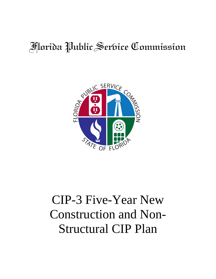## Florida Public Service Commission



# CIP-3 Five-Year New Construction and Non-Structural CIP Plan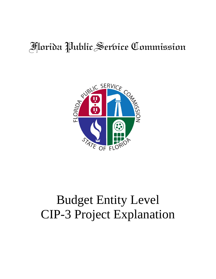### Florida Public Service Commission



## Budget Entity Level CIP-3 Project Explanation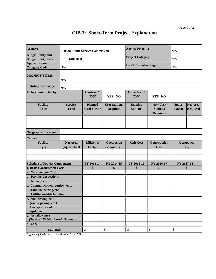### **CIP-3: Short-Term Project Explanation**

| Agency:                                                   | <b>Florida Public Service Commission</b> |                                      |                                         | <b>Agency Priority:</b>            |                                                       | N/A                      |                                    |
|-----------------------------------------------------------|------------------------------------------|--------------------------------------|-----------------------------------------|------------------------------------|-------------------------------------------------------|--------------------------|------------------------------------|
| <b>Budget Entity and</b><br><b>Budget Entity Code:</b>    | 61000000                                 |                                      |                                         | <b>Project Category:</b>           |                                                       | N/A                      |                                    |
| <b>Appropriation</b><br><b>Category Code:</b>             | N/A                                      |                                      |                                         | <b>LRPP Narrative Page:</b>        |                                                       | N/A                      |                                    |
| <b>PROJECT TITLE:</b>                                     | N/A                                      |                                      |                                         |                                    |                                                       |                          |                                    |
| <b>Statutory Authority:</b>                               | N/A                                      |                                      |                                         |                                    |                                                       |                          |                                    |
| To be Constructed by:                                     |                                          | Contract?<br>(Y/N)                   | YES NO                                  | <b>Force Acct.?</b><br>(Y/N)       | YES NO                                                |                          |                                    |
| <b>Facility</b><br><b>Type</b>                            | <b>Service</b><br>Load                   | <b>Planned</b><br><b>Used Factor</b> | <b>User Stations</b><br><b>Required</b> | <b>Existing</b><br><b>Stations</b> | <b>New User</b><br><b>Stations</b><br><b>Required</b> | <b>Space</b><br>Factor   | <b>Net Area</b><br><b>Required</b> |
|                                                           |                                          |                                      |                                         |                                    |                                                       |                          |                                    |
| <b>Geographic Location:</b>                               |                                          |                                      |                                         |                                    |                                                       |                          |                                    |
| <b>County:</b>                                            |                                          |                                      |                                         |                                    |                                                       |                          |                                    |
| <b>Facility</b><br><b>Type</b>                            | <b>Net Area</b><br>(square feet)         | <b>Efficiency</b><br>Factor          | <b>Gross Area</b><br>(square feet)      | <b>Unit Cost</b>                   | <b>Construction</b><br>Cost                           | <b>Occupancy</b><br>Date |                                    |
|                                                           |                                          |                                      |                                         |                                    |                                                       |                          |                                    |
| <b>Schedule of Project Components</b>                     |                                          | FY 2013-14                           | FY 2014-15                              | FY 2015-16                         | FY 2016-17                                            | FY 2017-18               |                                    |
| <b>1. Basic Construction Costs</b>                        |                                          | \$                                   | \$                                      | \$                                 | \$                                                    | \$                       |                                    |
| a. Construction Cost                                      |                                          |                                      |                                         |                                    |                                                       |                          |                                    |
| b. Permits, Inspections,                                  |                                          |                                      |                                         |                                    |                                                       |                          |                                    |
| <b>Impact Fees</b>                                        |                                          |                                      |                                         |                                    |                                                       |                          |                                    |
| c. Communication requirements<br>(conduits, wiring, etc.) |                                          |                                      |                                         |                                    |                                                       |                          |                                    |
| d. Utilities outside building                             |                                          |                                      |                                         |                                    |                                                       |                          |                                    |
| e. Site Development                                       |                                          |                                      |                                         |                                    |                                                       |                          |                                    |
| (roads, paving, etc.)                                     |                                          |                                      |                                         |                                    |                                                       |                          |                                    |
| f. Energy efficient                                       |                                          |                                      |                                         |                                    |                                                       |                          |                                    |
| equipment                                                 |                                          |                                      |                                         |                                    |                                                       |                          |                                    |
| g. Art allowance<br>(Section 255.043, Florida Statutes)   |                                          |                                      |                                         |                                    |                                                       |                          |                                    |
| h. Other                                                  |                                          |                                      |                                         |                                    |                                                       |                          |                                    |
| Subtotal:                                                 |                                          | \$                                   | \$                                      | \$                                 | \$                                                    | \$                       |                                    |

*Office of Policy and Budget - July 2012*